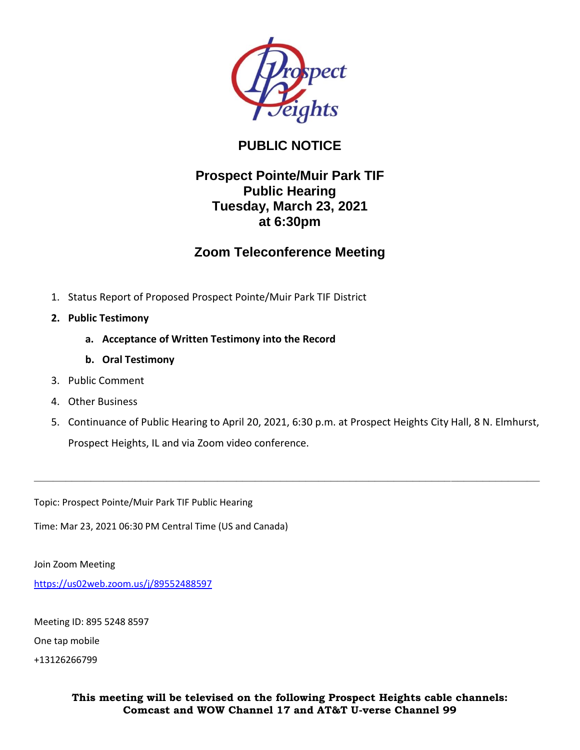

## **PUBLIC NOTICE**

## **Prospect Pointe/Muir Park TIF Public Hearing Tuesday, March 23, 2021 at 6:30pm**

## **Zoom Teleconference Meeting**

- 1. Status Report of Proposed Prospect Pointe/Muir Park TIF District
- **2. Public Testimony**
	- **a. Acceptance of Written Testimony into the Record**
	- **b. Oral Testimony**
- 3. Public Comment
- 4. Other Business
- 5. Continuance of Public Hearing to April 20, 2021, 6:30 p.m. at Prospect Heights City Hall, 8 N. Elmhurst, Prospect Heights, IL and via Zoom video conference.

**\_\_\_\_\_\_\_\_\_\_\_\_\_\_\_\_\_\_\_\_\_\_\_\_\_\_\_\_\_\_\_\_\_\_\_\_\_\_\_\_\_\_\_\_\_\_\_\_\_\_\_\_\_\_\_\_\_\_\_\_\_\_\_\_\_\_\_\_\_\_\_\_\_\_\_\_\_\_\_\_**

Topic: Prospect Pointe/Muir Park TIF Public Hearing

Time: Mar 23, 2021 06:30 PM Central Time (US and Canada)

Join Zoom Meeting

<https://us02web.zoom.us/j/89552488597>

Meeting ID: 895 5248 8597

One tap mobile

+13126266799

**This meeting will be televised on the following Prospect Heights cable channels: Comcast and WOW Channel 17 and AT&T U-verse Channel 99**